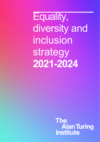Equality, diversity and inclusion strategy **2021-2024**

> **The Alan Turing<br>Institute**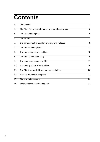# **Contents**

| 1.               | Introduction                                         | 3               |
|------------------|------------------------------------------------------|-----------------|
| $\overline{2}$ . | The Alan Turing Institute: Who we are and what we do | 5               |
| $\overline{3}$ . | Our mission and goals                                | $\overline{6}$  |
| 4.               | <b>Our values</b>                                    | 7               |
| 5.               | Our commitment to equality, diversity and inclusion  | ह               |
| 6.               | Our role as an employer                              | 10              |
| 7.               | Our role as a research institute                     | 73              |
| $8^-$            | Our role as a national body                          | 15              |
| $\overline{9}$ . | Our other commitments to EDI                         | $\overline{17}$ |
| 10.              | A summary of our EDI objectives                      | 79              |
| 11.              | Our EDI framework: Roles and responsibilities        | 20              |
| 12.              | How we will ensure progress                          | 22              |
| 13.              | The legislative context                              | 23              |
| 14.              | <b>Strategy consultation and review</b>              | 24              |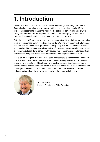## **1. Introduction**

Welcome to this, our first equality, diversity and inclusion (EDI) strategy. At The Alan Turing Institute, our mission is to make great leaps in data science and artificial intelligence research to change the world for the better. To achieve our mission, we recognise the value, role and importance that EDI plays in shaping the methods and tools we design and develop to have a positive impact on society.

Established in 2015, we are a relatively young organisation. Nevertheless, we have taken initial steps to embed EDI in everything that we do. Working with committed volunteers, we have established network groups that are exploring how we can do better on issues such as disability, race and sexual orientation. Our research colleagues have embarked on initiatives to break down barriers, with focused work on promoting gender equality in data science alongside critical considerations of human rights and ethics in AI.

However, we recognise that this is just a start. This strategy is a positive statement and practical tool to ensure that the Institute promotes inclusive practices and remains an employer of choice for all. This strategy is a positive statement and practical tool to ensure that the Institute promotes inclusive practices, fosters EDI in all its functions, and challenges the status quo to fulfill our commitment to EDI as a research institute, national body and employer, where all are given the opportunity to thrive.



**Adrian Smith** Institute Director and Chief Executive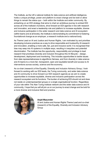The Institute, as the UK's national institute for data science and artificial intelligence, holds a unique privilege, power and platform to enact change and be bold or allow things to remain the status quo – both within the Institute and wider community. By embarking on an EDI strategy that aims to chart an ambitious journey to embed EDI across all of the Institute's functions, drive forward an EDI agenda in line with research and innovation, and enact a leadership role and platform to increase equitable, diverse and inclusive participation in the wider research and data science and AI ecosystem (within teams and at all levels), the Institute is demonstrating its commitment to fostering foundational change as an employer, a research institute and a national body.

As Theme Lead on AI and Justice and Human Rights, I am motivated by and prioritise developing inclusive practices as a way to drive responsible and trustworthy AI research and innovation, enabling a more safe, fair, just and inclusive world. It is recognised that bias may seep into AI systems in multiple ways, resulting in inequities and potential discrimination. The Institute has the opportunity, responsibility and privilege to lead research that prioritises diversity and inclusion throughout the AI lifecycle – design, development, deployment and monitoring. This includes opportunities to tackle issues from data representativeness to algorithmic fairness, and from diversity in data science and AI teams to a more fair, transparent, open and equitable benefit and access to AI interventions across society, science and the economy.

As co-chair (research) of the Equality, Diversity and Inclusion Advisory Group, I look forward to working with our EDI leads, the Turing community, and wider data science and AI community to drive forward our EDI research agenda as we aim to create opportunities to increase equitable, diverse and inclusive participation across the research ecosystem and its functions. The burden of achieving EDI should not and does not reside on underrepresented groups or a single organisational function. Regardless of your role within The Alan Turing Institute network and the wider data science and AI community, I hope that you will all join us on our journey to enact change and be bold for a more diverse and inclusive field and practice.



#### **Anjali Mazumder**

AI and Justice and Human Rights Theme Lead and co-chair (research) of the Equality, Diversity and Inclusion Advisory Group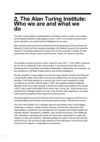### **2. The Alan Turing Institute: Who we are and what we do**

The Alan Turing Institute, headquartered in the British Library, London, was created as the national institute for data science in 2015. In 2017, as a result of a government recommendation, we added artificial intelligence to our remit.

After launching with government funding from the Engineering and Physical Sciences Research Council and five founding universities, the Institute has grown an extensive network of university partners from across the UK and launched a number of major partnerships with industry, public and third sector. Today, it is home to more than

The Institute is named in honour of Alan Turing (23 June 1912 – 7 June 1954), renowned for his role as a Bletchley Park 'code-breaker' in the Second World War and his pioneering work in theoretical and applied mathematics, engineering and computing – all key disciplines in the fields of data science and artificial intelligence.

We also recognise Turing's legacy as a prominent gay scientist. Despite his pivotal part in ensuring the safety of the nation and saving countless lives, his sexual orientation resulted in him being defined as a security risk, and he was harassed by police surveillance up until his untimely death in 1954. His appalling treatment tragically affected his life, but a public apology in 2009, and a posthumous pardon by the Queen in 2013, led to what is informally known as the 'Alan Turing Law', which serves as an amnesty law to facilitate pardons for men in the UK who were cautioned or convicted under historical legislation that outlawed homosexual acts.

We at the Institute are proud to bear his name and honour his legacy in all that we do, including battling discrimination and working towards equality, diversity and inclusion.

The role of the Institute is to undertake research that tackles some of the biggest challenges in science, society and the economy. We have the opportunity and responsibility to contribute to the development of AI systems that enable equality and prioritise fairness, transparency, reliability, trust, security and privacy. We collaborate with universities, businesses and public and third sector organisations to apply this research to real-world problems, with lasting effects for science, the economy and the world we live in. We are here to help make the UK the best place in the world for data science and AI research, collaboration and business.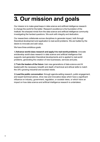# **3. Our mission and goals**

Our mission is to make great leaps in data science and artificial intelligence research to change the world for the better. Research excellence is the foundation of the Institute: the sharpest minds from the data science and artificial intelligence community investigating the hardest questions. We work with integrity and dedication.

Our researchers collaborate across disciplines to generate impact, both through theoretical development and application to real-world problems. We are fuelled by the desire to innovate and add value.

We have three ambitious goals:

1) **Advance world-class research and apply it to real-world problems**: innovate anddevelop world-class research in data science and artificial intelligence that supports next-generation theoretical developments and is applied to real-world problems, generating the creation of new businesses, services and jobs.

2) **Train the leaders of the future**: train new generations of data science and AI leaderswith the necessary breadth and depth of technical and ethical skills to match the UK's growing industrial and societal needs.

3) **Lead the public conversation**: through agenda-setting research, public engagement, and expert technical advice, drive new and innovative ideas which have a significant influence on industry, government, regulation, or societal views, or which have an impact on how data science and artificial intelligence research is undertaken.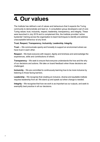## **4. Our values**

The Institute has defined a set of values and behaviours that it expects the Turing community to demonstrate and lead on. A consultation group developed a set of core Turing values: trust, inclusivity, respect, leadership, transparency, and integrity. These were launched in July 2019 and to complement this, the Institute provided 'active bystander' training across the organisation to teach techniques to identify and address unacceptable behaviour at any level.

#### **Trust**, **Respect**, **Transparency**, **Inclusivity**, **Leadership**, **Integrity**.

**Trust** -– We communicate openly and honestly to support an environment where we have trust in each other.

**Respect** – We treat everyone with respect, dignity and kindness and acknowledge the experiences, skills and contributions of others.

**Transparency** – We seek to ensure that everyone understands the how and the why of our decisions and actions. We take on board feedback when those decisions are challenged.

**Inclusivity** – We are committed to continuously learning how to be more inclusive by listening to those facing barriers.

**Leadership** – We recognise that creating an inclusive, diverse and equitable institute requires leadership from all. We stand up and speak out when change is needed.

**Integrity** – We recognise that how we work is as important as our outputs, and seek to exemplify best practice in all our decisions.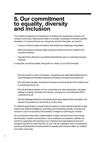# **5. Our commitment to equality, diversity and inclusion**

The Institute recognises the importance of building and supporting a diverse and inclusive community. Data science itself is a complex combination of diverse scientific disciplines. To ensure that we can change the world for the better, we need to:

- Conduct a diverse range of research that tackles and challenges inequalities.
- Seek and support a diverse range of people working across our research and business activities.
- Use data that is diverse in an Institute that leads the way in conducting inclusive research.

In doing this, we will be guided, along with our values, by our EDI principles.

- We will promote a culture of inclusion, recognising and celebrating difference and acknowledging the benefits achieved by diversity of thought and experience.
- We will embed equality, diversity and inclusion across all levels of the Institute and in everything that we do.
- We will educate ourselves and our community and raise awareness in all areas relating to equality, diversity and inclusion, ensuring our commitment to EDI is understood by all.
- We will challenge behaviour at all levels which goes against these principles, and support and enable our community to do the same.

To make the great leaps in research that we aspire to as the national institute for data science and artificial intelligence, promoting and embedding equality, diversity and inclusion in all of our functions and activities is integral to achieving our mission.

Our commitment starts with a determination to listen and learn from those facing discrimination, barriers and exclusion. As an employer and research institute, we commit to supporting this learning on an individual and organisational level and recognise that this is a task that has no end. We will undertake work to understand, examine and dismantle structural barriers to equality and inclusion within our Institute and wider community.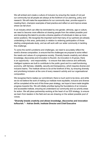We will embed and create a culture of inclusion by ensuring the needs of not just our community but all people are always at the forefront of our planning, policy and research. We will make the expectations for our community clear, provide support in meeting them, champion examples of best practice and reflect on and improve areas where we fall short.

In an industry which can often be dominated by one gender, ethnicity, age or culture, we need to become more effective at drawing people from the widest possible pool and developing this talent to provide a diverse pipeline of individuals to take up more senior positions. We recognise the important work that many of our partners are already undertaking in this area, particularly in relation to widening participation of those starting undergraduate study, and we will work with our wider community in tackling this challenge.

To solve the world's problems and challenges, we need to accurately reflect the world's diverse composition, to ensure that the challenges we propose to solve reflect the needs and values of a progressive society. Diversity breeds creativity and allows knowledge, discoveries and innovation to flourish. As innovation in AI grows, there is an opportunity – and responsibility – to ensure that data science and artificially intelligent systems are built to contribute to the public good and to a well-functioning economy, with fairness, reliability, security and transparency, which requires diverse and inclusive teams. The Institute strives to be at the forefront of this, by ensuring diversity and prioritising inclusion at the core of every research activity and our organisational composition.

We recognise that to realise our commitment, there is much work to be done, and while we do not believe the work of making our institute more equitable, inclusive and diverse will be completed at the end of this three-year strategy, we hope to have made tangible progress towards this. We will initially prioritise laying the foundations of an inclusive and accessible institute, ensuring we understand our community and our priority areas for action. We will place partnership working at the heart of our EDI strategy, to ensure we learn from leaders in the field and we are drawing on the widest possible pool of voices.

**"Diversity breeds creativity and allows knowledge, discoveries and innovation toflourish." – Adrian Smith, Institute Director and Chief Executive**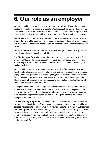## **6. Our role as an employer**

We are committed to being an employer of choice for all, recruiting and retaining the best employees from all sections of society. We recognise that motivated and diverse staff who feel valued and respected for their contributions, rather than judged on their characteristics, will help us provide the best environment for research and innovation.

We will take action to address any identified underrepresentation and advance equality of opportunity at all levels, including within senior grades. In doing so, we will ensure that the burden of addressing disadvantage will not disproportionately fall to those who face it.

Since the Institute was established, we have taken a range of measures to promote inclusive practices across all our activities.

Our **EDI Advisory Group** has a broad membership and is co-chaired by the Chief Operating Officer and a senior research colleague (currently our AI and Justice and Human Rights Theme Lead) to ensure that issues discussed cover the full range of Institute activities.

Working with committed volunteers, we established four **EDI network groups** (health and wellbeing; race equality; attracting diversity, developing talent and public engagement; and gender and LGBTQ+ equality) to help us to understand the barriers facing identified groups and to promote awareness across the Turing's community. These groups will continue to provide an essential contribution to our EDI framework (please see section 12 for further details).

During the Black Lives Matter resurgence in the summer of 2020, we embarked on a series of discussions to better understand and learn the impacts of systemic and sustained racism. These discussions provided a starting point for what we recognise is an important larger conversation on how the Turing can become an anti-racist workplace and research space.

Our **EDI training programme** has included unconscious bias workshops and active bystander sessions to help staff understand the impact of implicit prejudice and how to address inappropriate behaviour. We will review and update our menu of **EDI learning and development options** to offer a range of essential, awareness raising and 'toolkit' based sessions to equip our community with the knowledge and skills to embed inclusive practices in their work and spheres of influence (Action 3.7). In addition, we will review existing training materials and formats to ensure accessibility and inclusive design (Action 3.9).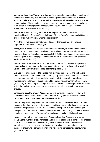We have adopted the '**Report and Support**' online system to provide all members of the Institute community with a means of reporting inappropriate behaviour. This will allow us to take specific action when incidents are reported, as well as have a broader understanding of the experiences of our community and implement training, policy and intervention to further promote respectful behaviour and an inclusive working environment at the Institute (Action 3.5).

The Institute has also sought out **external expertise** and has benefitted from membership of the Business Disability Forum, Athena Swan (gender equality) Charter and the Stonewall Diversity Champions programme.

Nevertheless, we recognise that we need to go further to promote an inclusive approach in our role as an employer.

Firstly, we will collect and analyse comprehensive **employee data** and use relevant demographic comparators to identify any barriers in our internal procedures, such as recruitment and staff development (Actions 3.1, 3.2). Our reporting will include progresson narrowing any evident pay gaps, and the recruitment of underrepresented groups to senior levels (Action 3.5).

We will continue our work with local organisations that support assisted employment opportunities for members of the local community and will develop a policy on staff volunteering and work experience placements (Action 3.10).

We also recognise the need to engage with staff in a transparent and self-aware manner to better understand barriers that they may face. We will, therefore, value and acknowledge the contributions made by volunteers to the network groups in workload management, performance appraisals and through an honorarium for network chairs (Action 3.6). To encourage the integration of research and business operations functions within the Institute, we will also create research co-chair positions for our network groups.

Embedding **Equality Impact Assessments** into our employee policy reviews will help ensure that there are no inadvertent barriers to any groups of staff in respect of recruitment, development and retention (Action 7.1).

We will complete a comprehensive and data-led review of our **recruitment practices** to ensure that there are no barriers to any specific groups or individuals at any stage of our internal practices (Action 3.3). We will regularly update our understanding of best practice in this area and have amended our recruitment policy to promote diverse panels, and a requirement for a specific question on commitment to inclusive practices.

In addition, we will undertake analysis of academic and professional **promotion**, including the awarding of pay increases and bonuses, taking care to consider the impactof complex factors such as intersectionality and the nature of collaborative research. We will continue to review and develop our appraisal process, ensuring this meets the needs of our whole community, including introducing **competency frameworks** (Actions 3.4, 3.5).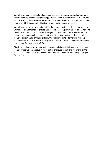We will develop a consistent and equitable approach to **mentoring and coaching** to ensure that we provide development opportunities to all our staff (Action 3.8). This will include ensuring that managers are aware of the opportunities and actively support staffin engaging with these opportunities in a planned and accountable way.

We will also review employment practices that support staff, including our provision of **workplace adjustments**, to ensure an accessible working environment for all, including measures to support neurodiverse employees. We will adopt the '**social model**' of disability in our approach and concentrate our efforts on removing barriers and adopting inclusive design and planning practices. We will continue to offer flexible working arrangements and will work with managers and Heads of Team to increase awareness and support for these (Action 3.5).

Finally, analysis of **exit surveys**, including personal characteristics data, will help us to identify where we can improve in the retention of groups of staff and will inform all the initiatives we undertake to improve our performance as an equal opportunity employer (Action 3.5).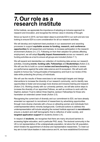### **7. Our role as a research institute**

At the Institute, we appreciate the importance of adopting an inclusive approach to research and innovation, and recognise the intrinsic value in diversity of thought.

Since our launch in 2015, we have taken steps to promote EDI in our work and are now looking to ensure EDI is a core consideration for all our research activities.

We will develop and implement best practices in our assessment and awarding processes to support **equitable access to funding, research, and conference opportunities** for all researchers and trainees, to increase participation in the research environment (Actions 2.4, 2.7). Following on from their adoption for policies affecting employment, we will adopt **Equality Impact Assessments** across our research, and funding activities as a tool to ensure all groups are included (Action 7.1).

We will expand and standardise our collection of monitoring data across our research activities, including **events**, **funding calls**, **Fellowships** and **Studentships** (Action 2.3). We will use this to build on current **review and benchmarking** activities to assess our performance against the wider data science and AI ecosystem. We will work with experts to honour key Turing principles of transparency and trust in our review of this data while protecting the privacy of individuals.

We will use the results of these exercises to set meaningful targets and design interventions to increase the diversity of our research community, and to identify new opportunities to foster and encourage more diverse and inclusive training and research (Action 2.4). Working closely with our university partners, we will take active steps to increase the diversity of our appointed Fellows, as well as continue to work with the Daphne Jackson Trust to deliver three Daphne Jackson Fellowships for those who havetaken an extended career break (Action 2.5).

Recognising the current lack of diversity and our commitment to EDI, we have already amended our approach to recruitment of researchers by advertising opportunities through more diverse channels with a focus on attracting women and individuals from underrepresented ethnic minority backgrounds. Continued actions to address this underrepresentation will include adopting the revised Institute approach to **recruitment**to ensure a student and staff demographic that is reflective of wider society, and **targeted application support** for students (Action 2.4).

In respect of **students**, we recognise that there are many structural barriers to accessing higher education, and in particular PhD, study. The doctoral community in the UK is not representative of the undergraduate population, let alone the UK population, which hinders the appointment of diverse and representative researchers. To meet our key aim to train future leaders in data science and AI, we have established Enrichment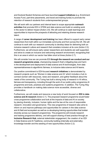and Doctoral Student Schemes and have launched **support initiatives** (e.g. Enrichment Access Fund, part-time placements, and travel and training funds) to promote the retention of research students from underrepresented groups.

We will work with our partners and internal team to scope appropriate **outreach activities** that promote EDI in STEM and data science and build on existing work in the sector to deliver impact (Action 2.8). We will continue to seek learnings and opportunities to improve the prospects of attracting and retaining diverse research talent.

A range of **career development and training** has been offered to support early career researchers from both within our immediate community and from across the UK. We will continue to work with our research community to develop ideas for delivering both an inclusive research culture and research that considers inclusion at its core (Action 2.2). Furthermore, we will ensure early career researchers and students are well supported, and strive to create an inclusive and welcoming research environment, recognising that this in an area in which our sector has fallen short at times (Action 2.7).

We will consider how we can promote EDI **through the research we conduct and our research programme areas**, championing research that's mitigating bias and harm in the development and deployment of data science and AI technologies, from data representativeness to algorithmic fairness, to inclusive data science and AI teams.

Our positive commitment to EDI-focused **research initiatives** is demonstrated by research projects such as 'Women in data science and AI' which includes a hub to connect women with resources, news and research, and gather feedback about the needs of the community. The Turing has built a strong body of research in AI ethics, fairness and transparency, including through the work of our public policy programme,AI programme and tools, practices and systems programme. In addition, The Turing Way provides a handbook on making data science more accessible, diverse and collaborative.

Furthermore, we will create and resource a new body of work focused on **EDI in data science and AI research** (Action 2.1). The proposed research programme would foster cross-programme collaboration and look at the impacts of data and AI on society by placing diversity, inclusion, human rights and the law at the core of responsible research, innovation and governance. This new programme of research also aims to inform on and improve pathways and opportunities for careers in the data science and AI field and ecosystem as well as co-developing training opportunities that bolster diversity across our research programmes. The programme will include research and training programme delivery, and will support sharing of best practice through an **Inclusive Research Hub**, external stakeholder engagement, the creation of an EDI in Data Science and AI Taskforce, community building (internally and externally), knowledge transfer and the seeding of new opportunities (Action 2.2).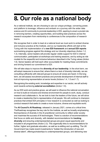# **8. Our role as a national body**

As a national institute, we are choosing to use our unique privilege, convening power, and platform to leverage, influence and embark on a journey with the wider data science and AI community to promote leadership in EDI, aspiring to enact a pivotal role in removing barriers, creating opportunities, and building best practices across the research ecosystem from mentorship to conferences to the composition of research teams.

We recognise that in order to lead at a national level we must work to embed diverse and inclusive practice at the Institute, and so our leadership efforts will start at the Turing with the implementation of a **new EDI framework** and **annual EDI reports** summarising progress against this strategy and our diversity objectives (Action 1.2, 1.3). Internally, senior leaders will provide regular visible support for EDI in internal communication, participation at workshops and training sessions, and by acting as role models for the respectful and inclusive behaviour described in the Turing values (Action 1.6). Senior leaders will hold each other accountable for meeting these commitments and driving forward our commitment to EDI.

We will take steps to improve the **diversity of our leadership**. In the short term, we will adopt measures to ensure that, where there is a lack of diversity internally, we are consulting sufficiently with relevant groups to ensure all voices are heard. In the long term, we will assess recruitment practices and promote development of internal staff to look at improving representation at senior levels (Actions 1.4, 1.5 and 1.7).

Recognising the existing work, knowledge and expertise in our sector, we will actively work towards achieving **external accreditation** (Action 1.9).

As our EDI work and practice grows, we will seek to influence the national conversation on how to build an inclusive and diverse environment for people to work, study, conduct research and collaborate in. As we look to train the leaders of the future, we will strive to create a leadership that is representative of all people. We will continue to champion practices that embed EDI principles in how research is conducted as well as looking to conduct research that seeks to create a more inclusive, diverse and equitable world.

The **AI Council's AI Roadmap**, released in January 2021, comes at a critical time. TheRoadmap recognises the key role for the Institute, as well as broadly emphasising theimportance of diversity in the AI practitioner community to reflect wider society and maximise the success of AI technologies. There is a section of recommendations that focus on skills and diversity, with detailed recommendations for **tracking diversity** and ensuring underrepresented groups are given equal opportunity and included in all programmes (Action 2.3). This organically links to recommendations for further, higher and graduate education, as well as re-skilling and up-skilling. The UK Government has made recent investments to "bolster the introduction of new and diverse talent", offeringscholarships to underrepresented groups, and delivering new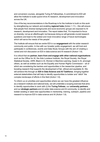and conversion courses, alongside Turing AI Fellowships. A commitment to EDI will allow the Institute to scale-upand drive AI research, development and innovation across the UK.

One of the key recommendations in the Roadmap is for the Institute to build on this work by strengthening our network and enabling **regional hubs** (Action 1.11) – this will ensure that people from diverse backgrounds and socio-economic groups are exposed to AI research, development and innovation. The report states that, "It's important to focus on diversity; not as an afterthought, but because doing so will generate crucial research questions and lead to the widest and most innovative range of future technologies which will serve the needs of the people".

The Institute will ensure that we centre EDI in our **engagement** with the wider research community and public. In line with our broader public engagement, we will host and participate in conferences, events and Data Study Groups with the aim of creating a varied and rich discussion on EDI in data science and AI research (Action 1.8).

It is critical that we **partner, learn from and engage with other national organisations** such as the Office for AI, the Ada Lovelace Institute, the Royal Society, the Royal Statistical Society, UKRI, Black in AI, Women in Machine Learning, Queer in AI, amongst others, as well as entities such as the Equality and Human Rights Commission – all of which are considering the barriers and opportunities in the researcher pipeline, and boosting research that supports the development of fair, ethical and equitable AI. We will achieve this through an **EDI in Data Science and AI Taskforce**, bringing together external stakeholders that will help to identify opportunities to bolster and "stitch" the complex landscape of efforts in this field (Action 1.8).

To inform us on priorities and opportunities where we can have the greatest influence as a research institute and national body, we will undertake a scoping exercise that aims to identify opportunities to work with (i) the **Turing Fellows**, our **university partners**, and our **strategic partners** and (ii) wider data science and AI community, to identify and bolster existing or seed new opportunities in mentorship, training, outreach, pipeline and research to improve EDI in data science and AI (Action 1.8).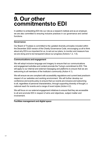### **9. Our other commitments to EDI**

In addition to embedding EDI into our role as a research institute and as an employer, we are also committed to ensuring inclusive practices in our governance and central functions.

#### **Governance**

Our Board of Trustees is committed to the updated diversity principles included within the December 2020 version of the Charity Governance Code, encouraging us all to think about why EDI is so important for us, to set out our plans, to monitor and measure how we are doing and to be transparent about our progress (Actions 1.2, 1.6).

#### **Communications and engagement**

We will adopt inclusive language and imagery to ensure that our communications and engagement activities and content promote the Turing's commitment to EDI. This will apply to our internal and external messaging and platforms to ensure that we are welcoming to all members of the Institute's community (Action 4.1).

We will ensure we are compliant with accessibility regulations and current best practicein respect of our websites and working environment. We will further develop our conference and events policy to ensure that our events are inclusive and welcoming to all, regardless of personal characteristics, through supporting diversity of thought, a national reach for events and a range of event styles (Action 4.2).

We will focus on our external engagement initiatives to ensure that they are accessible to all and promote EDI in respect of aims and objectives, subject matter and involvement.

**Facilities management and digital space**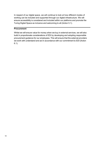In respect of our digital space, we will continue to look at how different modes of working can be included and supported through our digital infrastructure. We will ensure accessibility is considered and included within our platforms and promote the Turing Digital Space as inclusive and welcoming to all (Action 5.1).

#### **Procurement**

Whilst we will ensure value for money when we buy in external services, we will also build in proportionate considerations of EDI by developing and adopting responsible procurement guidance for our employees. This will ensure that the external providers we work with understand and act in accordance with our commitment to EDI (Action 6.1).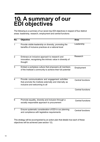### **10. A summary of our EDI objectives**

The following is a summary of our seven key EDI objectives in respect of four distinct areas: leadership, research, employment and central functions:

| No.            | <b>Objective</b>                                                                                                                              | <b>Area</b>              |
|----------------|-----------------------------------------------------------------------------------------------------------------------------------------------|--------------------------|
| $\mathbf{1}$   | Provide visible leadership on diversity, promoting the<br>benefits of inclusive practices at a national level                                 | Leadership               |
| $\overline{2}$ | Embrace an inclusive approach to research and<br>innovation, recognising the intrinsic value in diversity of<br>thought                       | Research                 |
| 3              | Embed a workplace culture that empowers all members<br>of the Institute's community to achieve their full potential                           | Employment               |
| $\overline{4}$ | Provide communications and engagement activities<br>that promote the Institute externally and internally as<br>inclusive and welcoming to all | <b>Central functions</b> |
|                |                                                                                                                                               | <b>Central functions</b> |
| 6              | Promote equality, diversity and inclusion through a<br>socially responsible approach to procurement                                           | <b>Central functions</b> |
| $\overline{7}$ | Ensure systematic consideration of EDI in our planning<br>and compliance with legislative requirements                                        | <b>Central functions</b> |
|                | This strategy will be accompanied by an action plan that details how each of these                                                            |                          |

objectives will be achieved (see section 12).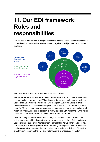### **11.Our EDI framework: Roles and responsibilities**

Our revised EDI framework is designed to ensure that the Turing's commitment to EDI is translated into measurable positive progress against the objectives set out in this strategy.



The roles and membership of the forums will be as follows:

The **Remuneration, EDI and People Committee** (REPCo) will hold the Institute to account on its performance on EDI and ensure it remains a high priority for Senior Leadership. Chaired by a Trustee who will champion EDI at the Board of Trustees, membership of this committee will comprise board members. The Institute's Strategic Lead for EDI will attend to provide updates on progress against agreed actions and report on other EDI issues. In addition, a yearly report on EDI within the Turing will be presented to the REPCo and circulated to the **Board of Trustees**.

In order to fully embed EDI into the Institute, it is essential that the delivery of the action plan is shared by all departments, with primary responsibility falling on Senior Leadership and the **Turing Management Team** (TMT). As we transition to our new framework, the **EDI Management Team** (including colleagues in both research and business operations roles) will be responsible for managing the delivery of the action plan through supporting the TMT and wider Institute to enact the action plan.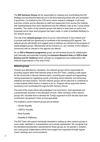The **EDI Advisory Group** will be responsible for shaping and coordinating the EDI strategy and ensuring the tasks set out in the accompanying action plan are completed in good time. Co-chaired by the COO and a senior research colleague, it will meet everytwo months and be attended by staff and researchers from across the Institute, with representatives from each department and the different roles at the Turing (where possible). The chairs of the network groups will attend to feed back on policy and proposals and to hear what progress has been made, in order to facilitate feedback to the network groups.

The role of the **network groups** will be to act as 'critical friends' to the Institute and to provide staff with the opportunity to contribute to the developing EDI agenda. The network groups will identify and suggest ways to address any barriers to the progress of disadvantaged groups. Membership will be inclusive (i.e. any member of the Institute's community with an interest in the agenda can attend).

As our **EDI in Research programme** grows, we will develop forums for collaboration both internally and externally including the **Inclusive Research Hub** and **EDI in Data Science and AI Taskforce** which will lead our engagement and collaboration with external organisations in the area of EDI.

#### **Network groups**

Chaired and attended by volunteers, the network groups will be responsible for providing support within their themed areas to the EDI Team, creating a safe space for the community to discuss relevant topics, providing peer support and signposting, raising awareness by organising events, promoting social networks, and advancing initiatives and best practice. The EDI network groups will be welcome to contribute to or lead projects where there is a desire to do so. Projects will be approved (where necessary) and coordinated through the EDI Advisory Group.

The work of the chairs will be acknowledged in an honorarium, their appraisals and a proportionate reduction in the allocation of work. Other members of the network groups who volunteer time to develop the Turing's approach to EDI will also have their contribution recognised in their annual appraisals.

The Institute's current network groups are as follows:

- Gender Equality
- LGBTQ+ Equality
- Race Equality
- Disability & Wellbeing

The EDI Team will support individuals interested in setting up other network groups to cover areas, identities or characteristics not currently represented. We recognise that the identities/characteristics represented by these groups do not operate in isolation, and cross-group collaborations will be encouraged and supported through regular chairs meetings and communications.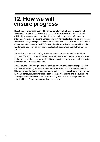### **12. How we will ensure progress**

This strategy will be accompanied by an **action plan** that will identify actions that the Institute will take to achieve the objectives set out in Section 10. The action plan will identify resource requirements, timelines, the senior responsible officer and the anticipated measurable outcome. Embedded within individual actions will be processesto review the efficacy and impact of measures adopted. The action plan will be updated on at least a quarterly basis by the EDI Strategic Lead to provide the Institute with a tool to monitor progress. It will be provided to the EDI Advisory Group and REPCo for this purpose.

Our work in this area will start by building a framework and foundation for future progress. We recognise that, at present, we are unable to set quantitative targets based on the available data, but as our work in this area continues we plan to update the action plan with further success measures.

In addition, the EDI Strategic Lead will produce an **annual EDI report** for publication internally and externally to demonstrate transparency and institutional self-awareness. This annual report will set out progress made against agreed objectives for the previous 12-month period, including monitoring data, the impact of actions, and the outstanding challenges to be addressed over the forthcoming year. The annual report will be submitted to the Board for consideration and approval.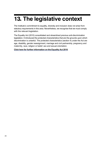# **13. The legislative context**

The Institute's commitment to equality, diversity and inclusion does not arise from statutory requirements in this area. Nevertheless, we recognise that we must comply with the relevant legislation.

The Equality Act (2010) consolidated and streamlined previous anti-discrimination legislation. It introduced the protected characteristics that are the grounds upon which discrimination is unlawful. The protected characteristics (section 4) under the Act are age, disability, gender reassignment, marriage and civil partnership, pregnancy and maternity, race, religion or belief, sex and sexual orientation.

**Click here for further [information](https://www.legislation.gov.uk/ukpga/2010/15/contents) on the Equality Act 2010**.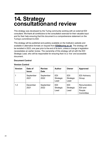# **14. Strategy consultationand review**

This strategy was developed by the Turing community working with an external EDI consultant. We thank all contributors to the consultation exercise for their valuable input and for their help ensuring that this document is a comprehensive statement on the Turing's commitment to EDI.

This strategy will be published and publicly available on the Institute's website and available in alternative formats on request from **[EDI@turing.ac.uk](mailto:EDI@turing.ac.uk)**. The strategy will be revisited in 2023, one year prior to the end of its term, unless a change in legislation necessitates an earlier review. The ownership of this strategy will sit with the EDI Strategic Lead, who will be responsible for ensuring that it is a 'live' and accessible document.

#### **Document Control**

| <b>Version</b> | Date of<br><b>Issue</b> | <b>Review</b><br><b>Date</b> | <b>Author</b>                          | Owner                                  | <b>Approved</b>                                 |
|----------------|-------------------------|------------------------------|----------------------------------------|----------------------------------------|-------------------------------------------------|
|                | September<br>2021       | September<br>2022            | <b>EDI</b><br><b>Strategic</b><br>Lead | <b>EDI</b><br><b>Strategic</b><br>Lead | <b>EDI Advisory</b><br>Group                    |
| 1.2            | December<br>2021        | September<br>2022            | EDI<br>Strategic<br>Lead               | EDI<br><b>Strategic</b><br>Lead        | Renumeration,<br>EDI and<br>People<br>Committee |

#### **Version Control**